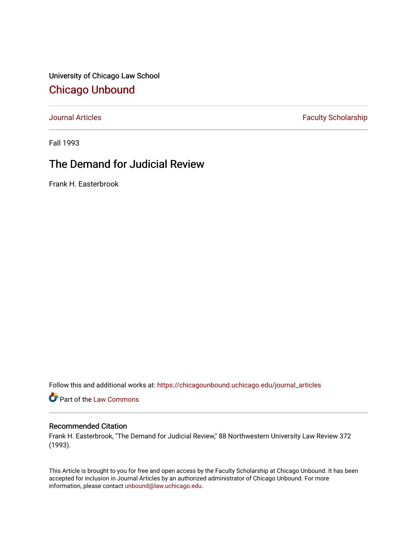University of Chicago Law School [Chicago Unbound](https://chicagounbound.uchicago.edu/)

[Journal Articles](https://chicagounbound.uchicago.edu/journal_articles) **Faculty Scholarship Faculty Scholarship** 

Fall 1993

## The Demand for Judicial Review

Frank H. Easterbrook

Follow this and additional works at: [https://chicagounbound.uchicago.edu/journal\\_articles](https://chicagounbound.uchicago.edu/journal_articles?utm_source=chicagounbound.uchicago.edu%2Fjournal_articles%2F613&utm_medium=PDF&utm_campaign=PDFCoverPages) 

Part of the [Law Commons](http://network.bepress.com/hgg/discipline/578?utm_source=chicagounbound.uchicago.edu%2Fjournal_articles%2F613&utm_medium=PDF&utm_campaign=PDFCoverPages)

## Recommended Citation

Frank H. Easterbrook, "The Demand for Judicial Review," 88 Northwestern University Law Review 372 (1993).

This Article is brought to you for free and open access by the Faculty Scholarship at Chicago Unbound. It has been accepted for inclusion in Journal Articles by an authorized administrator of Chicago Unbound. For more information, please contact [unbound@law.uchicago.edu](mailto:unbound@law.uchicago.edu).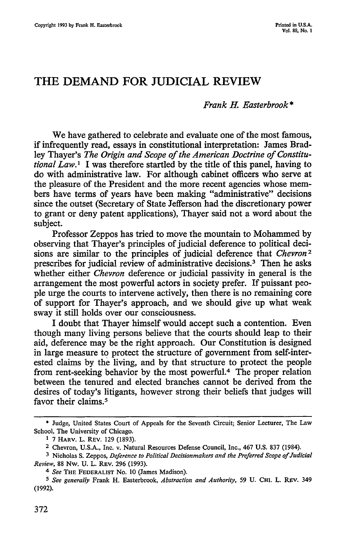## **THE DEMAND FOR JUDICIAL REVIEW**

*Frank H. Easterbrook\**

We have gathered to celebrate and evaluate one of the most famous, if infrequently read, essays in constitutional interpretation: James Bradley Thayer's *The Origin and Scope of the American Doctrine of Constitutional Law.I* I was therefore startled by the title of this panel, having to do with administrative law. For although cabinet officers who serve at the pleasure of the President and the more recent agencies whose members have terms of years have been making "administrative" decisions since the outset (Secretary of State Jefferson had the discretionary power to grant or deny patent applications), Thayer said not a word about the subject.

Professor Zeppos has tried to move the mountain to Mohammed by observing that Thayer's principles of judicial deference to political decisions are similar to the principles of judicial deference that *Chevron2* prescribes for judicial review of administrative decisions.3 Then he asks whether either *Chevron* deference or judicial passivity in general is the arrangement the most powerful actors in society prefer. If puissant people urge the courts to intervene actively, then there is no remaining core of support for Thayer's approach, and we should give up what weak sway it still holds over our consciousness.

I doubt that Thayer himself would accept such a contention. Even though many living persons believe that the courts should leap to their aid, deference may be the right approach. Our Constitution is designed in large measure to protect the structure of government from self-interested claims by the living, and by that structure to protect the people from rent-seeking behavior by the most powerful.4 The proper relation between the tenured and elected branches cannot be derived from the desires of today's litigants, however strong their beliefs that judges will favor their claims.<sup>5</sup>

**<sup>\*</sup>** Judge, United States Court of Appeals for the Seventh Circuit; Senior Lecturer, The Law School, The University of Chicago.

**<sup>1</sup>** 7 **HARV.** L. **REV.** 129 (1893).

<sup>2</sup> Chevron, U.S.A., Inc. v. Natural Resources Defense Council, Inc., 467 U.S. 837 (1984).

**<sup>3</sup>**Nicholas **S.** Zeppos, *Deference to Political Decisionmakers and the Preferred Scope of Judicial Review,* 88 Nw. **U.** L. REV. 296 (1993).

*<sup>4</sup> See* **THE FEDERALIST** No. **10** (James Madison).

*<sup>5</sup>See generally* Frank H. Easterbrook, *Abstraction and Authority,* 59 **U. CHI.** L. REV. 349 (1992).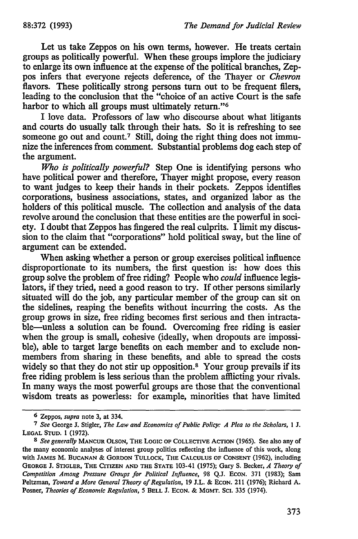Let us take Zeppos on his own terms, however. He treats certain groups as politically powerful. When these groups implore the judiciary to enlarge its own influence at the expense of the political branches, Zeppus infers that everyone rejects deference, of the Thayer or *Chevron* flavors. These politically strong persons turn out to be frequent filers, leading to the conclusion that the "choice of an active Court is the safe harbor to which all groups must ultimately return."<sup>6</sup>

I love data. Professors of law who discourse about what litigants and courts do usually talk through their hats. So it is refreshing to see someone go out and count.<sup>7</sup> Still, doing the right thing does not immunize the inferences from comment. Substantial problems dog each step of the argument.

*Who is politically powerful?* Step One is identifying persons who have political power and therefore, Thayer might propose, every reason to want judges to keep their hands in their pockets. Zeppos identifies corporations, business associations, states, and organized labor as the holders of this political muscle. The collection and analysis of the data revolve around the conclusion that these entities are the powerful in society. I doubt that Zeppos has fingered the real culprits. I limit my discussion to the claim that "corporations" hold political sway, but the line of argument can be extended.

When asking whether a person or group exercises political influence disproportionate to its numbers, the first question is: how does this group solve the problem of free riding? People who *could* influence legislators, if they tried, need a good reason to try. If other persons similarly situated will do the job, any particular member of the group can sit on the sidelines, reaping the benefits without incurring the costs. As the group grows in size, free riding becomes first serious and then intractable—unless a solution can be found. Overcoming free riding is easier when the group is small, cohesive (ideally, when dropouts are impossible), able to target large benefits on each member and to exclude nonmembers from sharing in these benefits, and able to spread the costs widely so that they do not stir up opposition.<sup>8</sup> Your group prevails if its free riding problem is less serious than the problem afflicting your rivals. In many ways the most powerful groups are those that the conventional wisdom treats as powerless: for example, minorities that have limited

<sup>6</sup> Zeppos, *supra* note **3,** at 334.

*<sup>7</sup> See* George **J.** Stigler, *The Law and Economics of Public Policy: A Plea to the Scholars, 1* **J. LEGAL STUD.** 1 (1972).

*<sup>8</sup> See generally* **MANCUR** OLSON, **THE LOGIC OF COLLECTIVE** ACTION (1965). See also any **of** the many economic analyses of interest group politics reflecting the influence of this work, along with **JAMES** M. **BUCANAN** & **GORDON TULLOCK, THE CALCULUS OF CONSENT (1962),** including **GEORGE J. STIGLER, THE CITIZEN AND THE STATE** 103-41 (1975); Gary **S.** Becker, *A Theory of Competition Among Pressure Groups for Political Influence,* 98 Q.J. ECON. 371 (1983); Sam Peltzman, *Toward a More General Theory of Regulation,* 19 J.L. & **ECON.** 211 (1976); Richard A. Posner, *Theories of Economic Regulation, 5* **BELL J.** ECON. & **MGMT. SCi.** 335 (1974).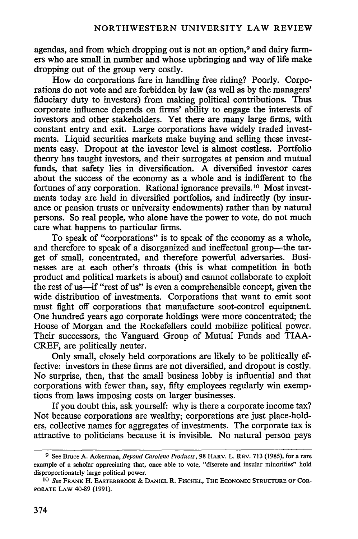agendas, and from which dropping out is not an option,<sup>9</sup> and dairy farmers who are small in number and whose upbringing and way of life make dropping out of the group very costly.

How do corporations fare in handling free riding? Poorly. Corporations do not vote and are forbidden by law (as well as by the managers' fiduciary duty to investors) from making political contributions. Thus corporate influence depends on firms' ability to engage the interests of investors and other stakeholders. Yet there are many large firms, with constant entry and exit. Large corporations have widely traded investments. Liquid securities markets make buying and selling these investments easy. Dropout at the investor level is almost costless. Portfolio theory has taught investors, and their surrogates at pension and mutual funds, that safety lies in diversification. A diversified investor cares about the success of the economy as a whole and is indifferent to the fortunes of any corporation. Rational ignorance prevails.10 Most investments today are held in diversified portfolios, and indirectly (by insurance or pension trusts or university endowments) rather than by natural persons. So real people, who alone have the power to vote, do not much care what happens to particular firms.

To speak of "corporations" is to speak of the economy as a whole, and therefore to speak of a disorganized and ineffectual group-the target of small, concentrated, and therefore powerful adversaries. Businesses are at each other's throats (this is what competition in both product and political markets is about) and cannot collaborate to exploit the rest of us-if "rest of us" is even a comprehensible concept, given the wide distribution of investments. Corporations that want to emit soot must fight off corporations that manufacture soot-control equipment. One hundred years ago corporate holdings were more concentrated; the House of Morgan and the Rockefellers could mobilize political power. Their successors, the Vanguard Group of Mutual Funds and TIAA-CREF, are politically neuter.

Only small, closely held corporations are likely to be politically effective: investors in these firms are not diversified, and dropout is costly. No surprise, then, that the small business lobby is influential and that corporations with fewer than, say, fifty employees regularly win exemptions from laws imposing costs on larger businesses.

If you doubt this, ask yourself: why is there a corporate income tax? Not because corporations are wealthy; corporations are just place-holders, collective names for aggregates of investments. The corporate tax is attractive to politicians because it is invisible. No natural person pays

**<sup>9</sup>** See Bruce A. Ackerman, *Beyond Carolene Products,* 98 HARV. L. REV. 713 (1985), for a rare example of a scholar appreciating that, once able to vote, "discrete and insular minorities" hold disproportionately large political power.

**<sup>10</sup>** *See* **FRANK** H. **EASTERBROOK** & **DANIEL** R. **FISCHEL,** THE **ECONOMIC STRUCTURE OF** COR-PORATE **LAW** 40-89 (1991).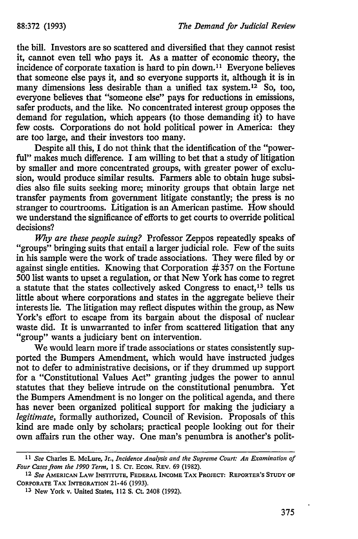the bill. Investors are so scattered and diversified that they cannot resist it, cannot even tell who pays it. As a matter of economic theory, the incidence of corporate taxation is hard to pin down.<sup>11</sup> Everyone believes that someone else pays it, and so everyone supports it, although it is in many dimensions less desirable than a unified tax system.<sup>12</sup> So, too, everyone believes that "someone else" pays for reductions in emissions, safer products, and the like. No concentrated interest group opposes the demand for regulation, which appears (to those demanding it) to have few costs. Corporations do not hold political power in America: they are too large, and their investors too many.

Despite all this, I do not think that the identification of the "powerful" makes much difference. I am willing to bet that a study of litigation by smaller and more concentrated groups, with greater power of exclusion, would produce similar results. Farmers able to obtain huge subsidies also file suits seeking more; minority groups that obtain large net transfer payments from government litigate constantly; the press is no stranger to courtrooms. Litigation is an American pastime. How should we understand the significance of efforts to get courts to override political decisions?

*Why are these people suing?* Professor Zeppos repeatedly speaks of "groups" bringing suits that entail a larger judicial role. Few of the suits in his sample were the work of trade associations. They were filed by or against single entities. Knowing that Corporation #357 on the Fortune 500 list wants to upset a regulation, or that New York has come to regret a statute that the states collectively asked Congress to enact,<sup>13</sup> tells us little about where corporations and states in the aggregate believe their interests lie. The litigation may reflect disputes within the group, as New York's effort to escape from its bargain about the disposal of nuclear waste did. It is unwarranted to infer from scattered litigation that any "group" wants a judiciary bent on intervention.

We would learn more if trade associations or states consistently supported the Bumpers Amendment, which would have instructed judges not to defer to administrative decisions, or if they drummed up support for a "Constitutional Values Act" granting judges the power to annul statutes that they believe intrude on the constitutional penumbra. Yet the Bumpers Amendment is no longer on the political agenda, and there has never been organized political support for making the judiciary a *legitimate,* formally authorized, Council of Revision. Proposals of this kind are made only by scholars; practical people looking out for their own affairs run the other way. One man's penumbra is another's polit-

*<sup>11</sup>See* Charles **E.** McLure, Jr., *Incidence Analysis and the Supreme Court: An Examination of Four Cases from the 1990 Term,* **1 S. Cr. ECON.** REV. **69 (1982).**

**<sup>12</sup>** *See* **AMERICAN** LAW **INSTITUTE, FEDERAL INCOME TAX PROJECT: REPORTER'S STUDY** OF **CORPORATE TAX INTEGRATION 21-46 (1993).**

**<sup>13</sup> New York v. United States, 112 S. Ct. 2408 (1992).**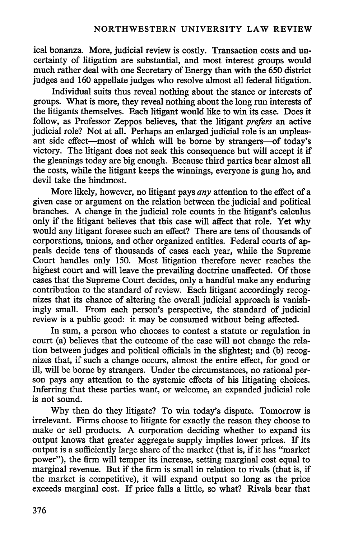ical bonanza. More, judicial review is costly. Transaction costs and uncertainty of litigation are substantial, and most interest groups would much rather deal with one Secretary of Energy than with the 650 district judges and 160 appellate judges who resolve almost all federal litigation.

Individual suits thus reveal nothing about the stance or interests of groups. What is more, they reveal nothing about the long run interests of the litigants themselves. Each litigant would like to win its case. Does it follow, as Professor Zeppos believes, that the litigant *prefers* an active judicial role? Not at all. Perhaps an enlarged judicial role is an unpleasant side effect—most of which will be borne by strangers—of today's victory. The litigant does not seek this consequence but will accept it if the gleanings today are big enough. Because third parties bear almost all the costs, while the litigant keeps the winnings, everyone is gung ho, and devil take the hindmost.

More likely, however, no litigant pays *any* attention to the effect of a given case or argument on the relation between the judicial and political branches. A change in the judicial role counts in the litigant's calculus only if the litigant believes that this case will affect that role. Yet why would any litigant foresee such an effect? There are tens of thousands of corporations, unions, and other organized entities. Federal courts of appeals decide tens of thousands of cases each year, while the Supreme Court handles only 150. Most litigation therefore never reaches the highest court and will leave the prevailing doctrine unaffected. Of those cases that the Supreme Court decides, only a handful make any enduring contribution to the standard of review. Each litigant accordingly recognizes that its chance of altering the overall judicial approach is vanishingly small. From each person's perspective, the standard of judicial review is a public good: it may be consumed without being affected.

In sum, a person who chooses to contest a statute or regulation in court (a) believes that the outcome of the case will not change the relation between judges and political officials in the slightest; and (b) recognizes that, if such a change occurs, almost the entire effect, for good or ill, will be borne by strangers. Under the circumstances, no rational person pays any attention to the systemic effects of his litigating choices. Inferring that these parties want, or welcome, an expanded judicial role is not sound.

Why then do they litigate? To win today's dispute. Tomorrow is irrelevant. Firms choose to litigate for exactly the reason they choose to make or sell products. A corporation deciding whether to expand its output knows that greater aggregate supply implies lower prices. If its output is a sufficiently large share of the market (that is, if it has "market power"), the firm will temper its increase, setting marginal cost equal to marginal revenue. But if the firm is small in relation to rivals (that is, if the market is competitive), it will expand output so long as the price exceeds marginal cost. If price falls a little, so what? Rivals bear that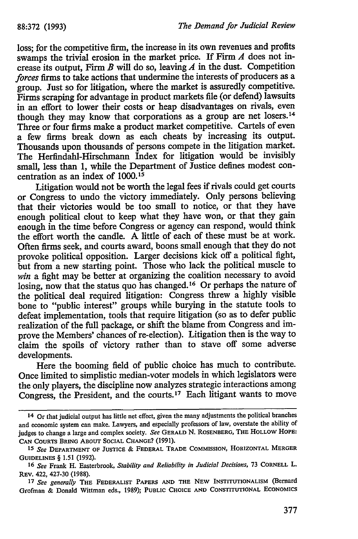loss; for the competitive firm, the increase in its own revenues and profits swamps the trivial erosion in the market price. If Firm *A* does not increase its output, Firm  $B$  will do so, leaving  $A$  in the dust. Competition *forces* firms to take actions that undermine the interests of producers as a group. Just so for litigation, where the market is assuredly competitive. Firms scraping for advantage in product markets file (or defend) lawsuits in an effort to lower their costs or heap disadvantages on rivals, even though they may know that corporations as a group are net losers.<sup>14</sup> Three or four firms make a product market competitive. Cartels of even a few firms break down as each cheats **by** increasing its output. Thousands upon thousands of persons compete in the litigation market. The Herfindahl-Hirschmann Index for litigation would be invisibly small, less than 1, while the Department of Justice defines modest concentration as an index of 1000.15

Litigation would not be worth the legal fees if rivals could get courts or Congress to undo the victory immediately. Only persons believing that their victories would be too small to notice, or that they have enough political clout to keep what they have won, or that they gain enough in the time before Congress or agency can respond, would think the effort worth the candle. **A** little of each of these must be at work. Often firms seek, and courts award, boons small enough that they do not provoke political opposition. Larger decisions kick off a political fight, but from a new starting point. Those who lack the political muscle to win a fight may be better at organizing the coalition necessary to avoid losing, now that the status quo has changed.16 Or perhaps the nature of the political deal required litigation: Congress threw a highly visible bone to "public interest" groups while burying in the statute tools to defeat implementation, tools that require litigation (so as to defer public realization of the full package, or shift the blame from Congress and improve the Members' chances of re-election). Litigation then is the way to claim the spoils of victory rather than to stave off some adverse developments.

Here the booming field of public choice has much to contribute. Once limited to simplistic median-voter models in which legislators were the only players, the discipline now analyzes strategic interactions among Congress, the President, and the courts.17 Each litigant wants to move

<sup>14</sup> Or that judicial output has little net effect, given the many adjustments the political branches and economic system can make. Lawyers, and especially professors of law, overstate the ability of judges to change a large and complex society. *See* GERALD **N.** ROSENBERG, THE HOLLOW HOPE: **CAN** COURTS BRING ABOUT **SOCIAL CHANGE? (1991).**

<sup>15</sup> *See* DEPARTMENT **OF JUSTICE** & FEDERAL TRADE **COMMISSION,** HORIZONTAL MERGER GUIDELINES § **1.51** (1992).

**<sup>16</sup>** *See* Frank H. Easterbrook, *Stability and Reliability in Judicial Decisions,* **73** CORNELL L. **REV.** 422, 427-30 **(1988).**

**<sup>17</sup>** *See generally* THE FEDERALIST PAPERS AND THE NEW INSTITUTIONALISM (Bernard Grofman & Donald Wittman eds., **1989); PUBLIC CHOICE AND CONSTITUTIONAL ECONOMICS**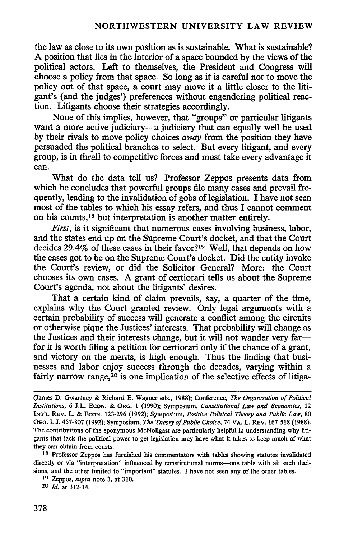the law as close to its own position as is sustainable. What is sustainable? A position that lies in the interior of a space bounded by the views of the political actors. Left to themselves, the President and Congress will choose a policy from that space. So long as it is careful not to move the policy out of that space, a court may move it a little closer to the litigant's (and the judges') preferences without engendering political reaction. Litigants choose their strategies accordingly.

None of this implies, however, that "groups" or particular litigants want a more active judiciary—a judiciary that can equally well be used by their rivals to move policy choices *away* from the position they have persuaded the political branches to select. But every litigant, and every group, is in thrall to competitive forces and must take every advantage it can.

What do the data tell us? Professor Zeppos presents data from which he concludes that powerful groups file many cases and prevail frequently, leading to the invalidation of gobs of legislation. I have not seen most of the tables to which his essay refers, and thus I cannot comment on his counts,18 but interpretation is another matter entirely.

*First,* is it significant that numerous cases involving business, labor, and the states end up on the Supreme Court's docket, and that the Court decides 29.4% of these cases in their favor?19 Well, that depends on how the cases got to be on the Supreme Court's docket. Did the entity invoke the Court's review, or did the Solicitor General? More: the Court chooses its own cases. **A** grant of certiorari tells us about the Supreme Court's agenda, not about the litigants' desires.

That a certain kind of claim prevails, say, a quarter of the time, explains why the Court granted review. Only legal arguments with a certain probability of success will generate a conflict among the circuits or otherwise pique the Justices' interests. That probability will change as the Justices and their interests change, but it will not wander very farfor it is worth filing a petition for certiorari only if the chance of a grant, and victory on the merits, is high enough. Thus the finding that businesses and labor enjoy success through the decades, varying within a fairly narrow range,<sup>20</sup> is one implication of the selective effects of litiga-

**18** Professor Zeppos has furnished his commentators with tables showing statutes invalidated directly or via "interpretation" influenced **by** constitutional norms-one table with all such decisions, and the other limited to "important" statutes. I have not seen any of the other tables.

<sup>(</sup>James **D.** Gwartney **&** Richard **E.** Wagner eds., **1988);** Conference, *The Organization of Political Institutions,* 6 **J.L. ECON. &** ORG. **1 (1990);** Symposium, *Constitutional Law and Economics,* 12 **INT'L** REV. L. & **ECON. 123-296 (1992);** Symposium, *Positive Political Theory and Public Law,* **80** GEo. **L.J. 457-807 (1992);** Symposium, *The Theory of Public Choice,* 74 **VA.** L. **REV. 167-518 (1988).** The contributions of the eponymous McNollgast are particularly helpful in understanding why litigants that lack the political power to get legislation may have what it takes to keep much of what they can obtain from courts.

**<sup>19</sup> Zeppos,** *supra* note **3,** at **310.**

**<sup>20</sup>** *Id.* at 312-14.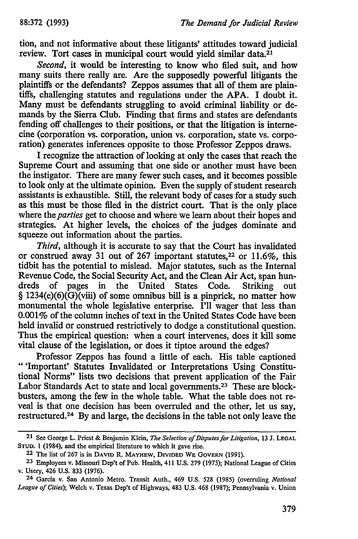tion, and not informative about these litigants' attitudes toward judicial review. Tort cases in municipal court would yield similar data.<sup>21</sup>

*Second,* it would be interesting to know who **filed** suit, and how many suits there really are. Are the supposedly powerful litigants the plaintiffs or the defendants? Zeppos assumes that all of them are plaintiffs, challenging statutes and regulations under the **APA.** I doubt it. Many must be defendants struggling to avoid criminal liability or demands **by** the Sierra Club. Finding that firms and states are defendants fending off challenges to their positions, or that the litigation is internecine (corporation vs. corporation, union vs. corporation, state vs. corporation) generates inferences opposite to those Professor Zeppos draws.

I recognize the attraction of looking at only the cases that reach the Supreme Court and assuming that one side or another must have been the instigator. There are many fewer such cases, and it becomes possible to look only at the ultimate opinion. Even the supply of student research assistants is exhaustible. Still, the relevant body of cases for a study such as this must be those filed in the district court. That is the only place where the *parties* get to choose and where we learn about their hopes and strategies. At higher levels, the choices of the judges dominate and squeeze out information about the parties.

*Third,* although it is accurate to say that the Court has invalidated or construed away **31** out of **267** important statutes, 22 or **11.6%,** this tidbit has the potential to mislead. Major statutes, such as the Internal Revenue Code, the Social Security Act, and the Clean Air Act, span hundreds of pages in the United States Code. Striking out § 1234(e)(6)(G)(viii) of some omnibus **bill** is a pinprick, no matter how monumental the whole legislative enterprise. I'll wager that less than **0.001%** of the column inches of text in the United States Code have been held invalid or construed restrictively to dodge a constitutional question. Thus the empirical question: when a court intervenes, does it kill some vital clause of the legislation, or does it tiptoe around the edges?

Professor Zeppos has found a little of each. His table captioned "'Important' Statutes Invalidated or Interpretations Using Constitutional Norms" lists two decisions that prevent application of the Fair Labor Standards Act to state and local governments.<sup>23</sup> These are blockbusters, among the few in the whole table. What the table does not reveal is that one decision has been overruled and the other, let us say, restructured. <sup>24</sup>**By** and large, the decisions in the table not only leave the

**<sup>21</sup>**See George L. Priest & Benjamin Klein, *The Selection of Disputes for Litigation,* **13 J. LEGAL STUD.** 1 (1984), and the empirical literature to which it gave rise.

**<sup>22</sup>** The list of 267 is in **DAVID** R. **MAYHEW, DIVIDED WE GOVERN** (1991).

**<sup>23</sup>** Employees v. Missouri Dep't of Pub. Health, 411 **U.S. 279** (1973); National League of Cities v. Usery, 426 U.S. **833** (1976).

**<sup>24</sup>** Garcia v. San Antonio Metro. Transit Auth., 469 U.S. **528** (1985) (overruling *National League of Cities);* Welch v. Texas Dep't of Highways, 483 U.S. 468 (1987); Pennsylvania v. Union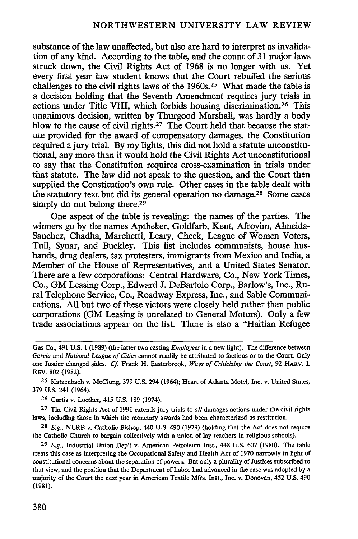substance of the law unaffected, but also are hard to interpret as invalidation of any kind. According to the table, and the count of 31 major laws struck down, the Civil Rights Act of 1968 is no longer with us. Yet every first year law student knows that the Court rebuffed the serious challenges to the civil rights laws of the 1960s. 25 What made the table is a decision holding that the Seventh Amendment requires jury trials in actions under Title VIII, which forbids housing discrimination. 26 This unanimous decision, written by Thurgood Marshall, was hardly a body blow to the cause of civil rights.27 The Court held that because the statute provided for the award of compensatory damages, the Constitution required a jury trial. By my lights, this did not hold a statute unconstitutional, any more than it would hold the Civil Rights Act unconstitutional to say that the Constitution requires cross-examination in trials under that statute. The law did not speak to the question, and the Court then supplied the Constitution's own rule. Other cases in the table dealt with the statutory text but did its general operation no damage. 28 Some cases simply do not belong there.<sup>29</sup>

One aspect of the table is revealing: the names of the parties. The winners go by the names Aptheker, Goldfarb, Kent, Afroyim, Almeida-Sanchez, Chadha, Marchetti, Leary, Cheek, League of Women Voters, Tull, Synar, and Buckley. This list includes communists, house husbands, drug dealers, tax protesters, immigrants from Mexico and India, a Member of the House of Representatives, and a United States Senator. There are a few corporations: Central Hardware, Co., New York Times, Co., GM Leasing Corp., Edward **J.** DeBartolo Corp., Barlow's, Inc., Rural Telephone Service, Co., Roadway Express, Inc., and Sable Communications. All but two of these victors were closely held rather than public corporations (GM Leasing is unrelated to General Motors). Only a few trade associations appear on the list. There is also a "Haitian Refugee

**25** Katzenbach v. McClung, 379 U.S. 294 (1964); Heart of Atlanta Motel, Inc. v. United States, 379 **U.S.** 241 (1964).

**26** Curtis v. Loether, 415 U.S. 189 (1974).

**27** The Civil Rights Act of 1991 extends jury trials to *all* damages actions under the civil rights laws, including those in which the monetary awards had been characterized as restitution.

**28** *E.g.,* NLRB v. Catholic Bishop, 440 U.S. 490 (1979) (holding that the Act does not require the Catholic Church to bargain collectively with a union of lay teachers in religious schools).

**29** *E.g.,* Industrial Union Dep't v. American Petroleum Inst., 448 U.S. 607 (1980). The table treats this case as interpreting the Occupational Safety and Health Act of 1970 narrowly in light of constitutional concerns about the separation of powers. But only a plurality of Justices subscribed to that view, and the position that the Department of Labor had advanced in the case was adopted by a majority of the Court the next year in American Textile Mfrs. Inst., Inc. v. Donovan, 452 U.S. 490 **(1981).**

Gas Co., 491 **U.S. 1** (1989) (the latter two casting *Employees* in a new light). The difference between *Garcia* and *National League of Cities* cannot readily be attributed to factions or to the Court. Only one Justice changed sides. **Cf.** Frank H. Easterbrook, *Ways of Criticizing the Court,* 92 HARV. L REV. 802 (1982).